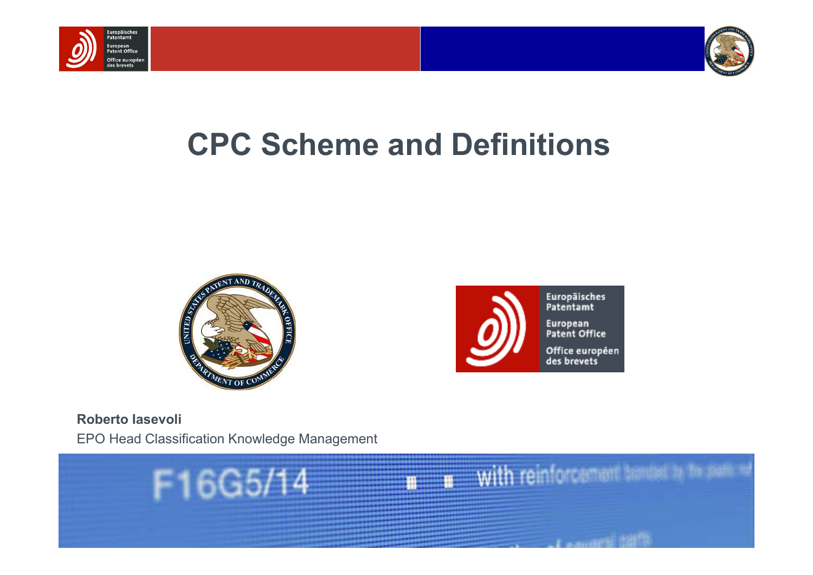



# **CPC Scheme and Definitions**





**Roberto Iasevoli**EPO Head Classification Knowledge Management

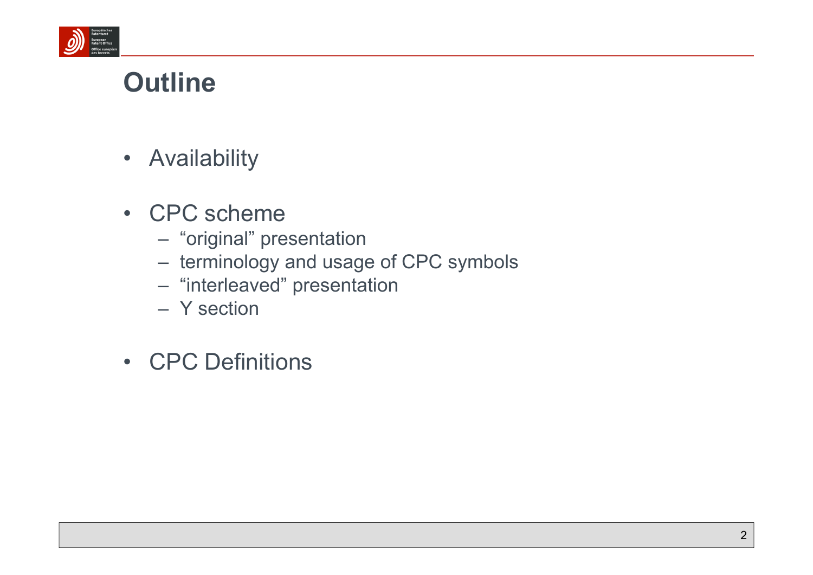

#### **Outline**

- Availability
- CPC scheme
	- "original" presentation
	- terminology and usage of CPC symbols
	- "interleaved" presentation
	- Y section
- CPC Definitions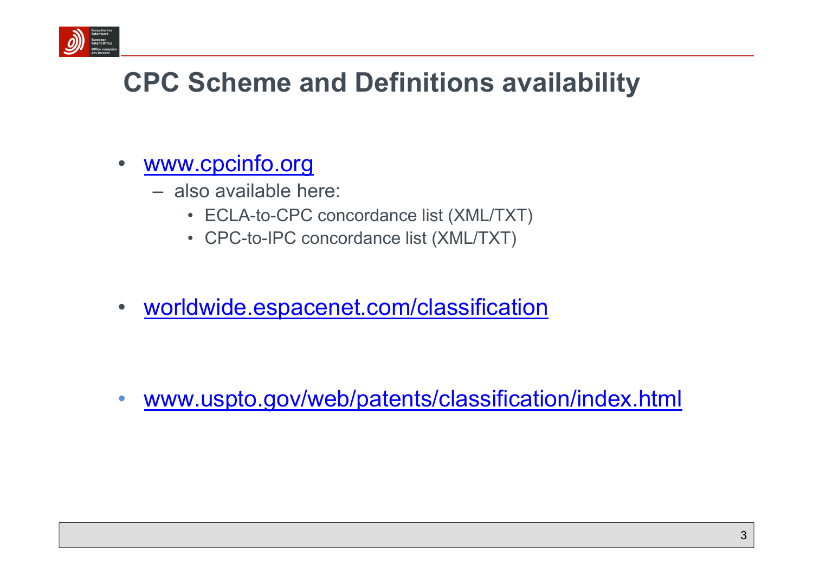

# **CPC Scheme and Definitions availability**

- • www.cpcinfo.org
	- also available here:
		- ECLA-to-CPC concordance list (XML/TXT)
		- CPC-to-IPC concordance list (XML/TXT)
- •worldwide.espacenet.com/classification

•www.uspto.gov/web/patents/classification/index.html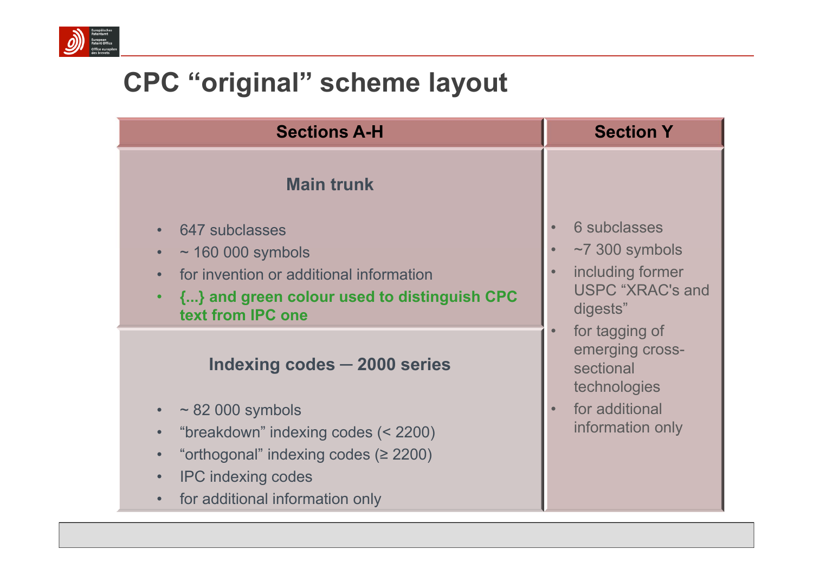

# **CPC "original" scheme layout**

| <b>Sections A-H</b>                                                                                         | <b>Section Y</b>                                               |  |
|-------------------------------------------------------------------------------------------------------------|----------------------------------------------------------------|--|
| <b>Main trunk</b>                                                                                           |                                                                |  |
| 647 subclasses<br>$\sim$ 160 000 symbols                                                                    | <b>6 subclasses</b><br>$~1$ 300 symbols                        |  |
| for invention or additional information<br>{} and green colour used to distinguish CPC<br>text from IPC one | including former<br><b>USPC "XRAC's and</b><br>digests"        |  |
| Indexing codes – 2000 series                                                                                | for tagging of<br>emerging cross-<br>sectional<br>technologies |  |
| $\sim$ 82 000 symbols<br>$\bullet$                                                                          | for additional<br>$\bullet$                                    |  |
| "breakdown" indexing codes (< 2200)<br>$\bullet$                                                            | information only                                               |  |
| "orthogonal" indexing codes $(≥ 2200)$<br>$\bullet$                                                         |                                                                |  |
| <b>IPC indexing codes</b><br>$\bullet$                                                                      |                                                                |  |
| for additional information only                                                                             |                                                                |  |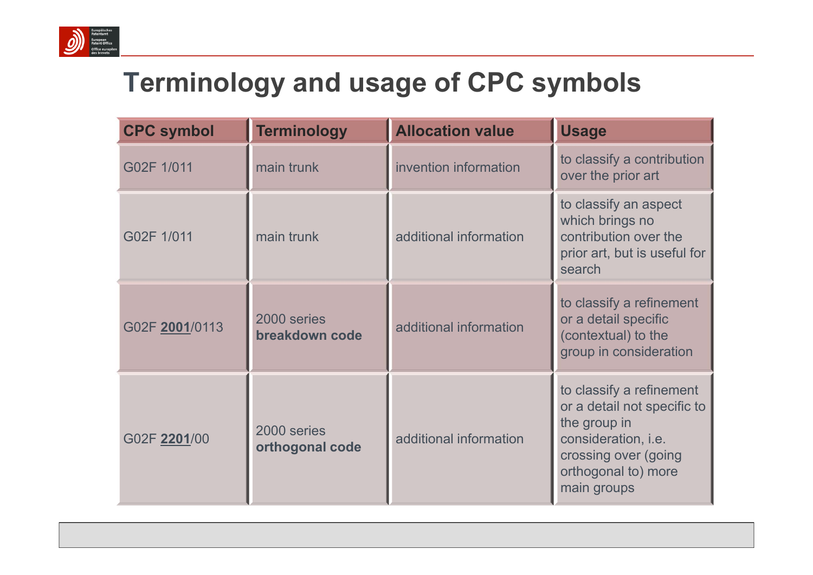

### **Terminology and usage of CPC symbols**

| <b>CPC symbol</b> | <b>Terminology</b>             | <b>Allocation value</b> | <b>Usage</b>                                                                                                                                                 |
|-------------------|--------------------------------|-------------------------|--------------------------------------------------------------------------------------------------------------------------------------------------------------|
| G02F 1/011        | main trunk                     | invention information   | to classify a contribution<br>over the prior art                                                                                                             |
| G02F 1/011        | main trunk                     | additional information  | to classify an aspect<br>which brings no<br>contribution over the<br>prior art, but is useful for<br>search                                                  |
| G02F 2001/0113    | 2000 series<br>breakdown code  | additional information  | to classify a refinement<br>or a detail specific<br>(contextual) to the<br>group in consideration                                                            |
| G02F 2201/00      | 2000 series<br>orthogonal code | additional information  | to classify a refinement<br>or a detail not specific to<br>the group in<br>consideration, i.e.<br>crossing over (going<br>orthogonal to) more<br>main groups |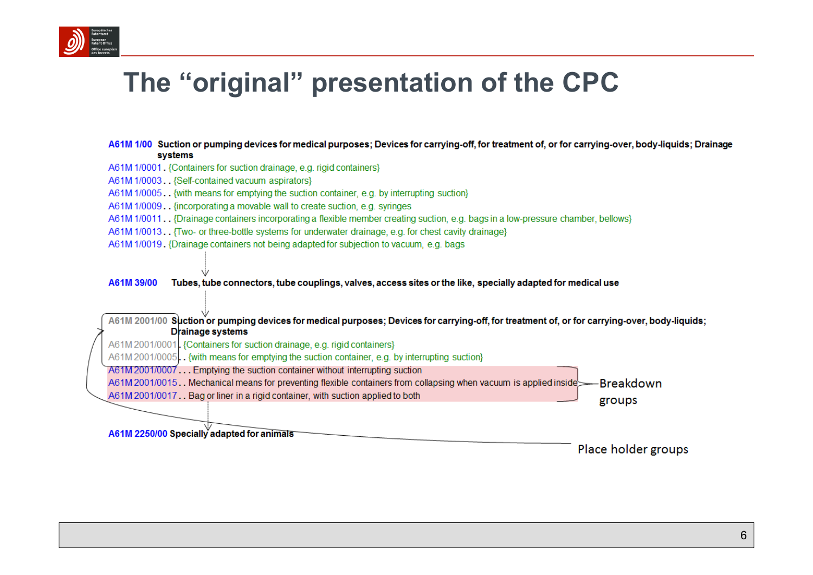

#### The "original" presentation of the CPC

#### A61M 1/00 Suction or pumping devices for medical purposes; Devices for carrying-off, for treatment of, or for carrying-over, body-liquids; Drainage systems

- A61M 1/0001. {Containers for suction drainage, e.g. rigid containers}
- A61M 1/0003. {Self-contained vacuum aspirators}
- A61M 1/0005. {with means for emptying the suction container, e.g. by interrupting suction}
- A61M 1/0009. . {incorporating a movable wall to create suction, e.g. syringes
- A61M 1/0011. {Drainage containers incorporating a flexible member creating suction, e.g. bags in a low-pressure chamber, bellows}
- A61M 1/0013. Two- or three-bottle systems for underwater drainage, e.g. for chest cavity drainage}
- A61M 1/0019. {Drainage containers not being adapted for subjection to vacuum, e.g. bags

A61M 39/00 Tubes, tube connectors, tube couplings, valves, access sites or the like, specially adapted for medical use

A61M 2001/00 Suction or pumping devices for medical purposes: Devices for carrying-off, for treatment of, or for carrying-over, body-liquids; **Drainage systems** 

A61M 2001/0001. {Containers for suction drainage, e.g. rigid containers}

A61M 2001/0005. {with means for emptying the suction container, e.g. by interrupting suction}

A61M 2001/0007... Emptying the suction container without interrupting suction

A61M 2001/0015. Mechanical means for preventing flexible containers from collapsing when vacuum is applied inside -Breakdown

A61M 2001/0017. Bag or liner in a rigid container, with suction applied to both

A61M 2250/00 Specially adapted for animals

Place holder groups

groups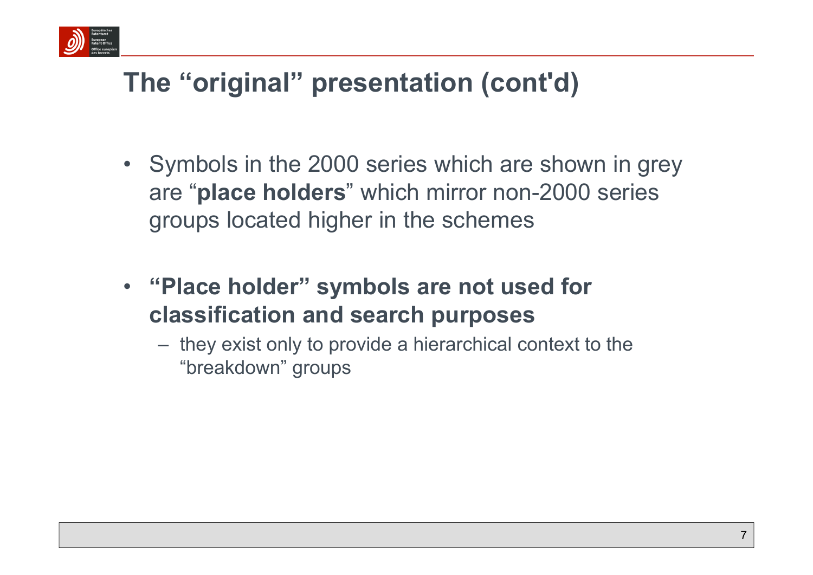

# **The "original" presentation (cont'd)**

- Symbols in the 2000 series which are shown in grey are "**place holders**" which mirror non-2000 series groups located higher in the schemes
- **"Place holder" symbols are not used for classification and search purposes**
	- they exist only to provide a hierarchical context to the "breakdown" groups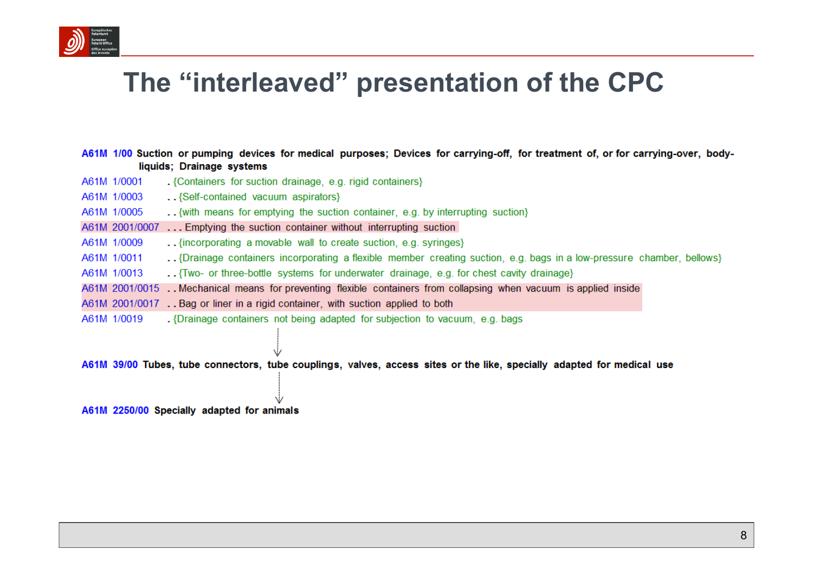

#### The "interleaved" presentation of the CPC

A61M 1/00 Suction or pumping devices for medical purposes; Devices for carrying-off, for treatment of, or for carrying-over, bodyliquids; Drainage systems

- A61M 1/0001 . {Containers for suction drainage, e.g. rigid containers}
- A61M 1/0003 .. {Self-contained vacuum aspirators}
- ..{ with means for emptying the suction container, e.g. by interrupting suction} A61M 1/0005
- A61M 2001/0007 ... Emptying the suction container without interrupting suction
- A61M 1/0009 .. {incorporating a movable wall to create suction, e.g. syringes}
- A61M 1/0011 ... {Drainage containers incorporating a flexible member creating suction, e.g. bags in a low-pressure chamber, bellows}
- A61M 1/0013 ... Two- or three-bottle systems for underwater drainage, e.g. for chest cavity drainage)
- A61M 2001/0015 . Mechanical means for preventing flexible containers from collapsing when vacuum is applied inside
- A61M 2001/0017 . . Bag or liner in a rigid container, with suction applied to both
- A61M 1/0019 . Drainage containers not being adapted for subjection to vacuum, e.g. bags

A61M 39/00 Tubes, tube connectors, tube couplings, valves, access sites or the like, specially adapted for medical use

A61M 2250/00 Specially adapted for animals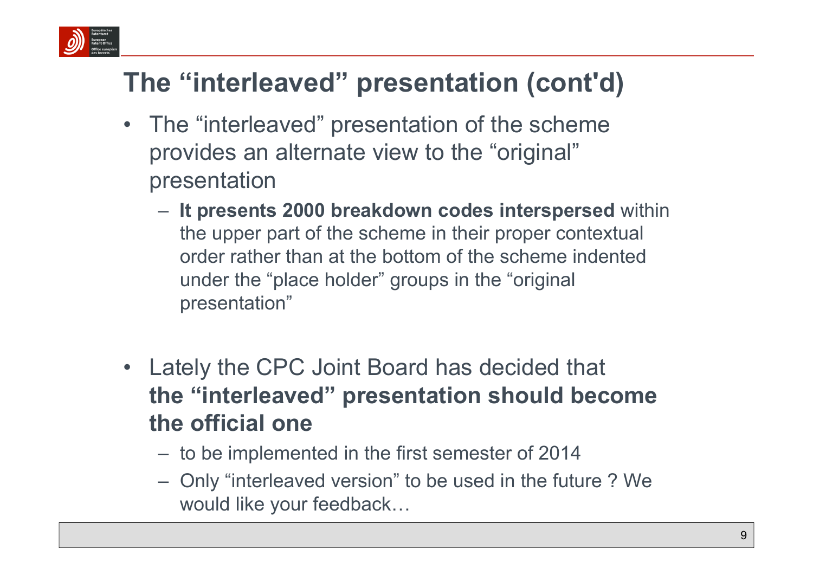

# **The "interleaved" presentation (cont'd)**

- The "interleaved" presentation of the scheme provides an alternate view to the "original" presentation
	- **It presents 2000 breakdown codes interspersed** within the upper part of the scheme in their proper contextual order rather than at the bottom of the scheme indented under the "place holder" groups in the "original presentation"
- $\bullet$  Lately the CPC Joint Board has decided that **the "interleaved" presentation should become the official one**
	- to be implemented in the first semester of 2014
	- Only "interleaved version" to be used in the future ? We would like your feedback…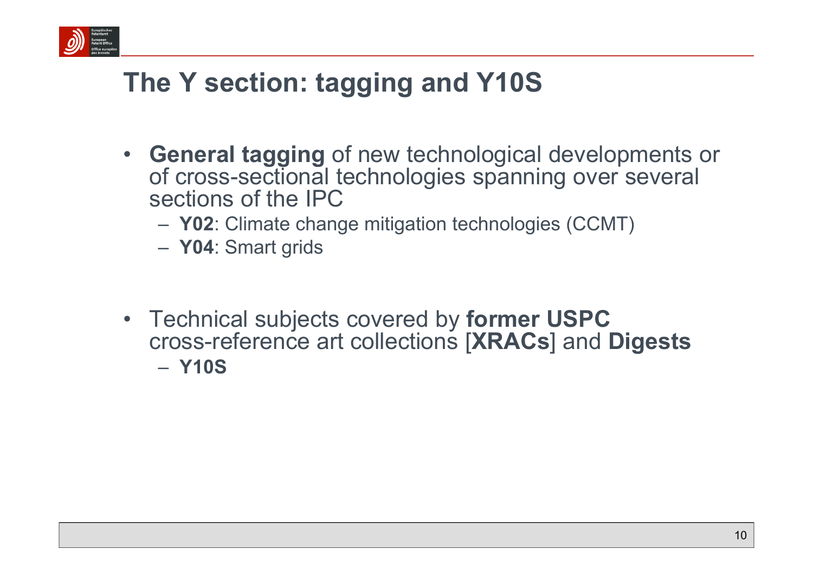

# **The Y section: tagging and Y10S**

- **General tagging** of new technological developments or of cross-sectional technologies spanning over several sections of the IPC
	- **Y02**: Climate change mitigation technologies (CCMT)
	- **Y04**: Smart grids
- Technical subjects covered by **former USPC** cross-reference art collections [**XRACs**] and **Digests** – **Y10S**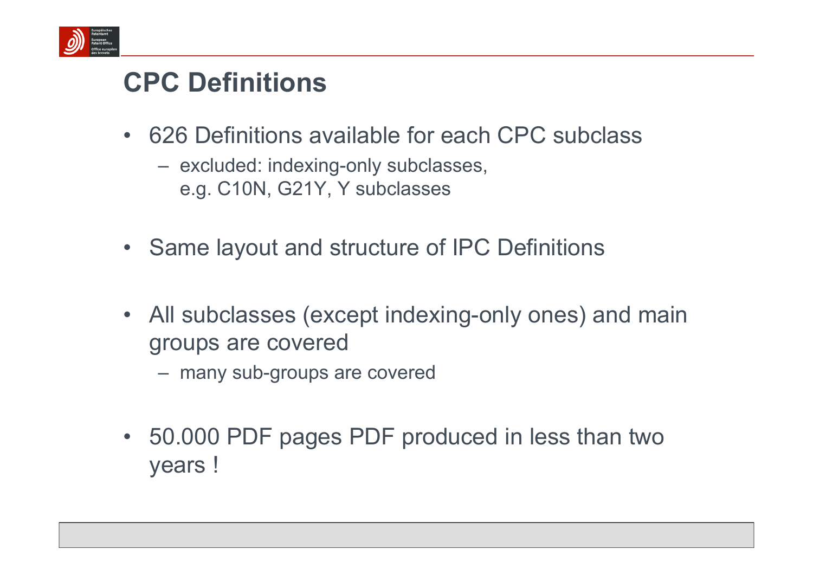

### **CPC Definitions**

- 626 Definitions available for each CPC subclass
	- excluded: indexing-only subclasses, e.g. C10N, G21Y, Y subclasses
- Same layout and structure of IPC Definitions
- All subclasses (except indexing-only ones) and main groups are covered
	- many sub-groups are covered
- 50.000 PDF pages PDF produced in less than two years !